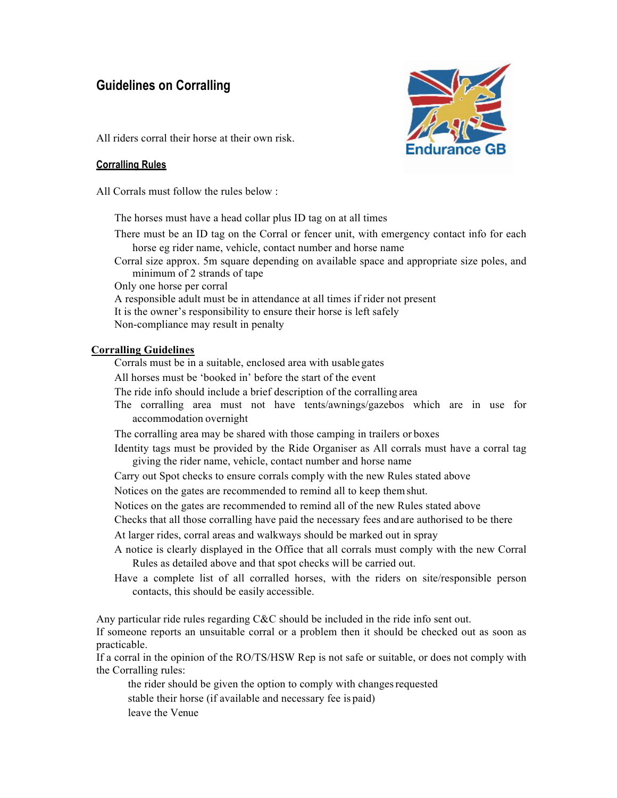# **Guidelines on Corralling**



All riders corral their horse at their own risk.

### **Corralling Rules**

All Corrals must follow the rules below :

The horses must have a head collar plus ID tag on at all times

There must be an ID tag on the Corral or fencer unit, with emergency contact info for each horse eg rider name, vehicle, contact number and horse name

Corral size approx. 5m square depending on available space and appropriate size poles, and minimum of 2 strands of tape

Only one horse per corral

A responsible adult must be in attendance at all times if rider not present

It is the owner's responsibility to ensure their horse is left safely

Non-compliance may result in penalty

## **Corralling Guidelines**

Corrals must be in a suitable, enclosed area with usable gates

All horses must be 'booked in' before the start of the event

The ride info should include a brief description of the corralling area

The corralling area must not have tents/awnings/gazebos which are in use for accommodation overnight

The corralling area may be shared with those camping in trailers or boxes

Identity tags must be provided by the Ride Organiser as All corrals must have a corral tag giving the rider name, vehicle, contact number and horse name

Carry out Spot checks to ensure corrals comply with the new Rules stated above

Notices on the gates are recommended to remind all to keep themshut.

Notices on the gates are recommended to remind all of the new Rules stated above

Checks that all those corralling have paid the necessary fees andare authorised to be there

At larger rides, corral areas and walkways should be marked out in spray

- A notice is clearly displayed in the Office that all corrals must comply with the new Corral Rules as detailed above and that spot checks will be carried out.
- Have a complete list of all corralled horses, with the riders on site/responsible person contacts, this should be easily accessible.

Any particular ride rules regarding  $C&C$  should be included in the ride info sent out.

If someone reports an unsuitable corral or a problem then it should be checked out as soon as practicable.

If a corral in the opinion of the RO/TS/HSW Rep is not safe or suitable, or does not comply with the Corralling rules:

the rider should be given the option to comply with changesrequested stable their horse (if available and necessary fee is paid) leave the Venue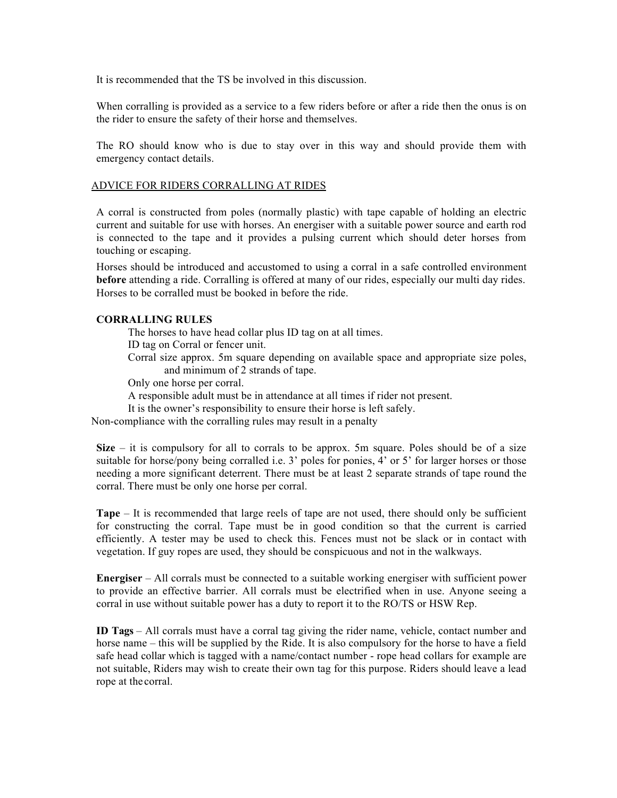It is recommended that the TS be involved in this discussion.

When corralling is provided as a service to a few riders before or after a ride then the onus is on the rider to ensure the safety of their horse and themselves.

The RO should know who is due to stay over in this way and should provide them with emergency contact details.

#### ADVICE FOR RIDERS CORRALLING AT RIDES

A corral is constructed from poles (normally plastic) with tape capable of holding an electric current and suitable for use with horses. An energiser with a suitable power source and earth rod is connected to the tape and it provides a pulsing current which should deter horses from touching or escaping.

Horses should be introduced and accustomed to using a corral in a safe controlled environment **before** attending a ride. Corralling is offered at many of our rides, especially our multi day rides. Horses to be corralled must be booked in before the ride.

#### **CORRALLING RULES**

The horses to have head collar plus ID tag on at all times.

ID tag on Corral or fencer unit.

Corral size approx. 5m square depending on available space and appropriate size poles, and minimum of 2 strands of tape.

Only one horse per corral.

A responsible adult must be in attendance at all times if rider not present.

It is the owner's responsibility to ensure their horse is left safely.

Non-compliance with the corralling rules may result in a penalty

**Size** – it is compulsory for all to corrals to be approx. 5m square. Poles should be of a size suitable for horse/pony being corralled i.e. 3' poles for ponies, 4' or 5' for larger horses or those needing a more significant deterrent. There must be at least 2 separate strands of tape round the corral. There must be only one horse per corral.

**Tape** – It is recommended that large reels of tape are not used, there should only be sufficient for constructing the corral. Tape must be in good condition so that the current is carried efficiently. A tester may be used to check this. Fences must not be slack or in contact with vegetation. If guy ropes are used, they should be conspicuous and not in the walkways.

**Energiser** – All corrals must be connected to a suitable working energiser with sufficient power to provide an effective barrier. All corrals must be electrified when in use. Anyone seeing a corral in use without suitable power has a duty to report it to the RO/TS or HSW Rep.

**ID Tags** – All corrals must have a corral tag giving the rider name, vehicle, contact number and horse name – this will be supplied by the Ride. It is also compulsory for the horse to have a field safe head collar which is tagged with a name/contact number - rope head collars for example are not suitable, Riders may wish to create their own tag for this purpose. Riders should leave a lead rope at the corral.